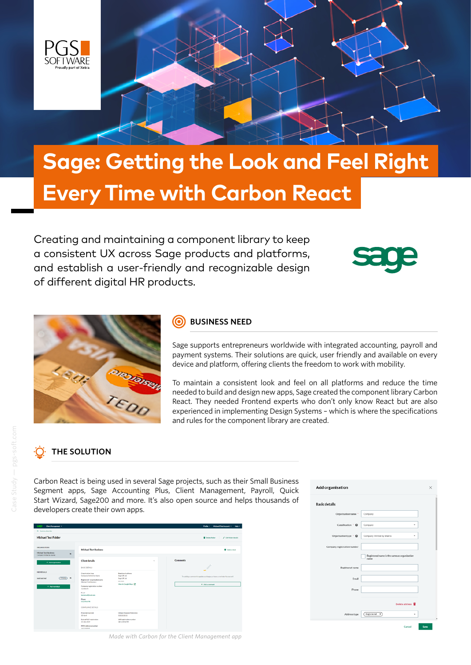

# **Sage: Getting the Look and Feel Right Every Time with Carbon React**

Creating and maintaining a component library to keep a consistent UX across Sage products and platforms, and establish a user-friendly and recognizable design of different digital HR products.





### **BUSINESS NEED**

Sage supports entrepreneurs worldwide with integrated accounting, payroll and payment systems. Their solutions are quick, user friendly and available on every device and platform, offering clients the freedom to work with mobility.

To maintain a consistent look and feel on all platforms and reduce the time needed to build and design new apps, Sage created the component library Carbon React. They needed Frontend experts who don't only know React but are also experienced in implementing Design Systems – which is where the specifications and rules for the component library are created.

# **THE SOLUTION**

Carbon React is being used in several Sage projects, such as their Small Business Segment apps, Sage Accounting Plus, Client Management, Payroll, Quick Start Wizard, Sage200 and more. It's also open source and helps thousands of developers create their own apps.

| <b>ClurcManagement +</b><br>$-100$                            |                                                                                                                                                       |                                                                                     |                 | Profile + Michael Seat Account +<br><b>Table 1</b>                            |
|---------------------------------------------------------------|-------------------------------------------------------------------------------------------------------------------------------------------------------|-------------------------------------------------------------------------------------|-----------------|-------------------------------------------------------------------------------|
| <b><i>By Back to class list</i></b>                           |                                                                                                                                                       |                                                                                     |                 |                                                                               |
| <b>Michael Test Folder</b>                                    |                                                                                                                                                       |                                                                                     |                 | <b>B</b> Delawarkeen<br>$\blacktriangleright$ Edit folder details:            |
| <b>GROANISATIONS</b><br>Michael Text Beniness<br>$\mathbf{B}$ | Michael Test Business                                                                                                                                 |                                                                                     |                 | Cebra class                                                                   |
| Company limited by shares<br>+ Atterpression                  | <b>Client details</b><br>BASIC DETAILS                                                                                                                | $\sim$                                                                              | <b>Comments</b> |                                                                               |
| <b><i>BEARXALL</i></b><br>mary) N<br>test test ind            | <b>Crawnation how</b><br>Company limited by shares<br>Registered/organisation name                                                                    | <b>Registered address</b><br>Saps UK Ltd.<br>Sape GROUN<br>M1.35A                   |                 | The adding a commonl his update a colleague, or have a reminder for yourself. |
| + Aerivaneae                                                  | Mahasi Text Business<br>Computer registration number<br>12345478<br>Ernst<br><b>BachpergeldFord, com</b><br>Phone<br>OSTORIATOR<br>COMPLIANCE DETAILS | <b>View in Google Maps</b> 07                                                       |                 | <b>4 Anta services</b>                                                        |
|                                                               | Franklin war and<br>$50$ April<br>Eate of VAT registration<br>31 Adv 2019<br><b>PEYE nehrstop turniter</b><br><b>STERNHAME</b>                        | Unique Epsopora Reference<br>1531551151<br>valence existing per DN/<br>OB 123414789 |                 |                                                                               |

| <b>Add organisation</b>     |                                                     | × |
|-----------------------------|-----------------------------------------------------|---|
| <b>Basic details</b>        |                                                     |   |
| Organisation name *         | Company                                             |   |
| Classification * @          | Company                                             |   |
| Organisation type * @       | Company limited by shares<br>٠                      |   |
| Company registration number |                                                     |   |
|                             | Registered name is the same as organisation<br>rume |   |
| Registered name             |                                                     |   |
| Email                       |                                                     |   |
| Phone                       |                                                     |   |
|                             | Delete address <b>B</b>                             |   |
| Address type                | Registered N)                                       |   |
|                             |                                                     |   |

*Made with Carbon for the Client Management app*